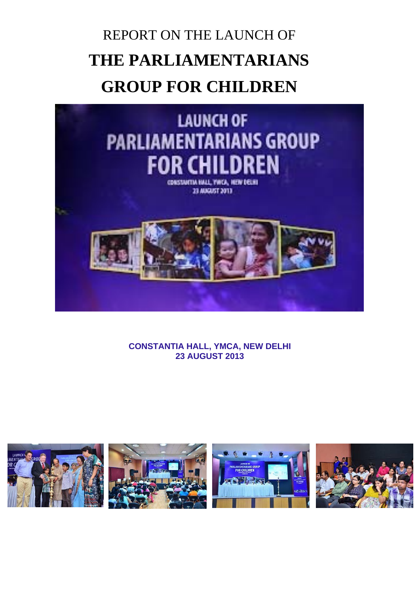# REPORT ON THE LAUNCH OF **THE PARLIAMENTARIANS GROUP FOR CHILDREN**



**CONSTANTIA HALL, YMCA, NEW DELHI 23 AUGUST 2013**

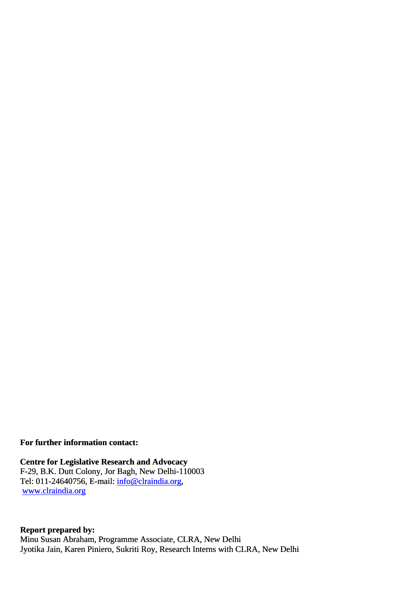**For further information contact:** 

 **Centre for Legislative Research and Advocacy**  F-29, B.K. Dutt Colony, Jor Bagh, New Delhi-110003 Tel: 011-24640756, E-mail: [info@clraindia.org](mailto:info@clraindia.org), [www.clraindia.org](http://www.clraindia.org/)

 **Report prepared by:**  Minu Susan Abraham, Programme Associate, CLRA, New Delhi Jyotika Jain, Karen Piniero, Sukriti Roy, Research Interns with CLRA, New Delhi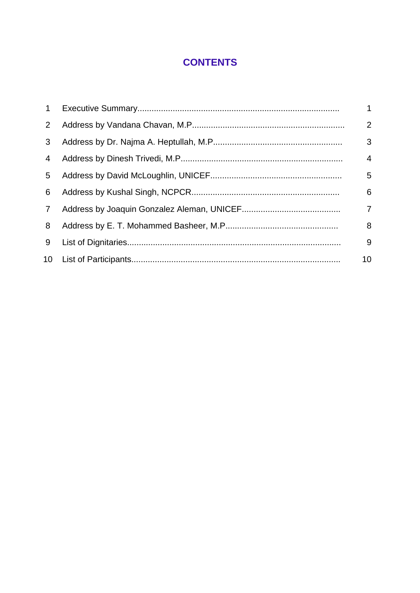## **CONTENTS**

| 1              | $\mathbf{1}$   |
|----------------|----------------|
| $2^{\circ}$    | 2              |
| 3              | 3              |
| 4              | $\overline{4}$ |
| 5              | 5              |
| 6              | 6              |
| $\overline{7}$ | $\overline{7}$ |
| 8              | 8              |
| 9              | 9              |
|                | 10             |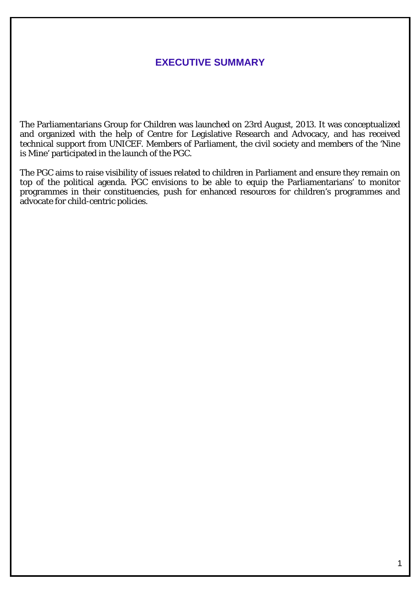### **EXECUTIVE SUMMARY**

The Parliamentarians Group for Children was launched on 23rd August, 2013. It was conceptualized and organized with the help of Centre for Legislative Research and Advocacy, and has received technical support from UNICEF. Members of Parliament, the civil society and members of the 'Nine is Mine' participated in the launch of the PGC.

The PGC aims to raise visibility of issues related to children in Parliament and ensure they remain on top of the political agenda.  $\overline{P}GC$  envisions to be able to equip the Parliamentarians' to monitor programmes in their constituencies, push for enhanced resources for children's programmes and advocate for child-centric policies.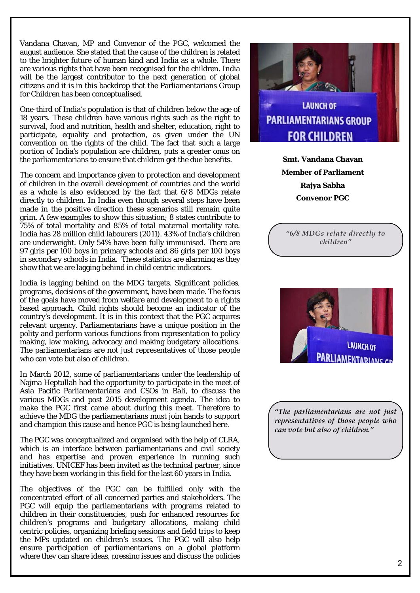Vandana Chavan, MP and Convenor of the PGC, welcomed the august audience. She stated that the cause of the children is related to the brighter future of human kind and India as a whole. There are various rights that have been recognised for the children. India will be the largest contributor to the next generation of global citizens and it is in this backdrop that the Parliamentarians Group for Children has been conceptualised.

One-third of India's population is that of children below the age of 18 years. These children have various rights such as the right to survival, food and nutrition, health and shelter, education, right to participate, equality and protection, as given under the UN convention on the rights of the child. The fact that such a large portion of India's population are children, puts a greater onus on the parliamentarians to ensure that children get the due benefits.

The concern and importance given to protection and development of children in the overall development of countries and the world as a whole is also evidenced by the fact that 6/8 MDGs relate directly to children. In India even though several steps have been made in the positive direction these scenarios still remain quite grim. A few examples to show this situation; 8 states contribute to 75% of total mortality and 85% of total maternal mortality rate. India has 28 million child labourers (2011). 43% of India's children are underweight. Only 54% have been fully immunised. There are 97 girls per 100 boys in primary schools and 86 girls per 100 boys in secondary schools in India. These statistics are alarming as they show that we are lagging behind in child centric indicators.

India is lagging behind on the MDG targets. Significant policies, programs, decisions of the government, have been made. The focus of the goals have moved from welfare and development to a rights based approach. Child rights should become an indicator of the country's development. It is in this context that the PGC acquires relevant urgency. Parliamentarians have a unique position in the polity and perform various functions from representation to policy making, law making, advocacy and making budgetary allocations. The parliamentarians are not just representatives of those people who can vote but also of children.

In March 2012, some of parliamentarians under the leadership of Najma Heptullah had the opportunity to participate in the meet of Asia Pacific Parliamentarians and CSOs in Bali, to discuss the various MDGs and post 2015 development agenda. The idea to make the PGC first came about during this meet. Therefore to achieve the MDG the parliamentarians must join hands to support and champion this cause and hence PGC is being launched here.

The PGC was conceptualized and organised with the help of CLRA, which is an interface between parliamentarians and civil society and has expertise and proven experience in running such initiatives. UNICEF has been invited as the technical partner, since they have been working in this field for the last 60 years in India.

The objectives of the PGC can be fulfilled only with the concentrated effort of all concerned parties and stakeholders. The PGC will equip the parliamentarians with programs related to children in their constituencies, push for enhanced resources for children's programs and budgetary allocations, making child centric policies, organizing briefing sessions and field trips to keep the MPs updated on children's issues. The PGC will also help ensure participation of parliamentarians on a global platform where they can share ideas, pressing issues and discuss the policies



**LAUNCH OF** PARLIAMENTARIANS CI

*"The parliamentarians are not just representatives of those people who can vote but also of children."*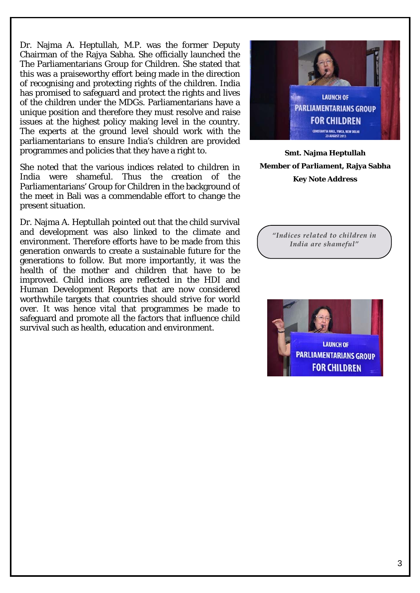Dr. Najma A. Heptullah, M.P. was the former Deputy Chairman of the Rajya Sabha. She officially launched the The Parliamentarians Group for Children. She stated that this was a praiseworthy effort being made in the direction of recognising and protecting rights of the children. India has promised to safeguard and protect the rights and lives of the children under the MDGs. Parliamentarians have a unique position and therefore they must resolve and raise issues at the highest policy making level in the country. The experts at the ground level should work with the parliamentarians to ensure India's children are provided programmes and policies that they have a right to.

She noted that the various indices related to children in India were shameful. Thus the creation of the Parliamentarians' Group for Children in the background of the meet in Bali was a commendable effort to change the present situation.

Dr. Najma A. Heptullah pointed out that the child survival and development was also linked to the climate and environment. Therefore efforts have to be made from this generation onwards to create a sustainable future for the generations to follow. But more importantly, it was the health of the mother and children that have to be improved. Child indices are reflected in the HDI and Human Development Reports that are now considered worthwhile targets that countries should strive for world over. It was hence vital that programmes be made to safeguard and promote all the factors that influence child survival such as health, education and environment.



**Smt. Najma Heptullah Member of Parliament, Rajya Sabha Key Note Address**

*"Indices related to children in India are shameful"* 

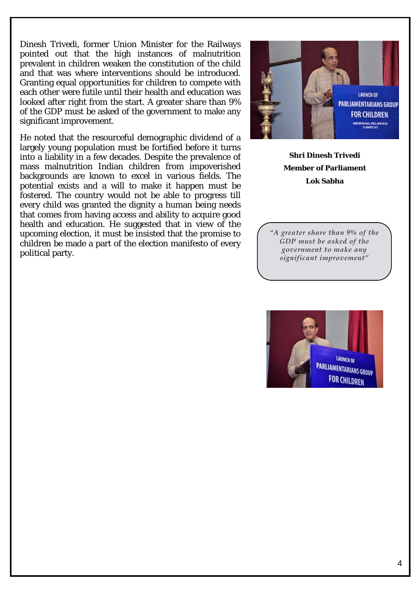Dinesh Trivedi, former Union Minister for the Railways pointed out that the high instances of malnutrition prevalent in children weaken the constitution of the child and that was where interventions should be introduced. Granting equal opportunities for children to compete with each other were futile until their health and education was looked after right from the start. A greater share than 9% of the GDP must be asked of the government to make any significant improvement.

He noted that the resourceful demographic dividend of a largely young population must be fortified before it turns into a liability in a few decades. Despite the prevalence of mass malnutrition Indian children from impoverished backgrounds are known to excel in various fields. The potential exists and a will to make it happen must be fostered. The country would not be able to progress till every child was granted the dignity a human being needs that comes from having access and ability to acquire good health and education. He suggested that in view of the upcoming election, it must be insisted that the promise to children be made a part of the election manifesto of every political party.



**Shri Dinesh Trivedi Member of Parliament Lok Sabha**

*"A greater share than 9% of the GDP must be asked of the government to make any significant improvement"* 

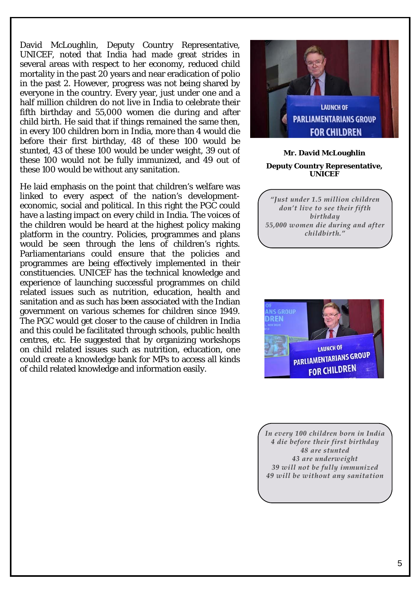David McLoughlin, Deputy Country Representative, UNICEF, noted that India had made great strides in several areas with respect to her economy, reduced child mortality in the past 20 years and near eradication of polio in the past 2. However, progress was not being shared by everyone in the country. Every year, just under one and a half million children do not live in India to celebrate their fifth birthday and 55,000 women die during and after child birth. He said that if things remained the same then, in every 100 children born in India, more than 4 would die before their first birthday, 48 of these 100 would be stunted, 43 of these 100 would be under weight, 39 out of these 100 would not be fully immunized, and 49 out of these 100 would be without any sanitation.

He laid emphasis on the point that children's welfare was linked to every aspect of the nation's developmenteconomic, social and political. In this right the PGC could have a lasting impact on every child in India. The voices of the children would be heard at the highest policy making platform in the country. Policies, programmes and plans would be seen through the lens of children's rights. Parliamentarians could ensure that the policies and programmes are being effectively implemented in their constituencies. UNICEF has the technical knowledge and experience of launching successful programmes on child related issues such as nutrition, education, health and sanitation and as such has been associated with the Indian government on various schemes for children since 1949. The PGC would get closer to the cause of children in India and this could be facilitated through schools, public health centres, etc. He suggested that by organizing workshops on child related issues such as nutrition, education, one could create a knowledge bank for MPs to access all kinds of child related knowledge and information easily.



#### **Mr. David McLoughlin Deputy Country Representative, UNICEF**

*"Just under 1.5 million children don't live to see their fifth birthday 55,000 women die during and after childbirth."* 



*In every 100 children born in India 4 die before their first birthday 48 are stunted 43 are underweight 39 will not be fully immunized 49 will be without any sanitation*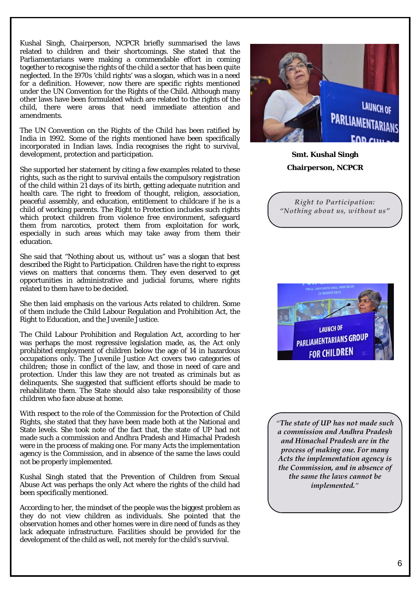Kushal Singh, Chairperson, NCPCR briefly summarised the laws related to children and their shortcomings. She stated that the Parliamentarians were making a commendable effort in coming together to recognise the rights of the child a sector that has been quite neglected. In the 1970s 'child rights' was a slogan, which was in a need for a definition. However, now there are specific rights mentioned under the UN Convention for the Rights of the Child. Although many other laws have been formulated which are related to the rights of the child, there were areas that need immediate attention and amendments.

The UN Convention on the Rights of the Child has been ratified by India in 1992. Some of the rights mentioned have been specifically incorporated in Indian laws. India recognises the right to survival, development, protection and participation.

She supported her statement by citing a few examples related to these rights, such as the right to survival entails the compulsory registration of the child within 21 days of its birth, getting adequate nutrition and health care. The right to freedom of thought, religion, association, peaceful assembly, and education, entitlement to childcare if he is a child of working parents. The Right to Protection includes such rights which protect children from violence free environment, safeguard them from narcotics, protect them from exploitation for work, especially in such areas which may take away from them their education.

She said that "Nothing about us, without us" was a slogan that best described the Right to Participation. Children have the right to express views on matters that concerns them. They even deserved to get opportunities in administrative and judicial forums, where rights related to them have to be decided.

She then laid emphasis on the various Acts related to children. Some of them include the Child Labour Regulation and Prohibition Act, the Right to Education, and the Juvenile Justice.

The Child Labour Prohibition and Regulation Act, according to her was perhaps the most regressive legislation made, as, the Act only prohibited employment of children below the age of 14 in hazardous occupations only. The Juvenile Justice Act covers two categories of children; those in conflict of the law, and those in need of care and protection. Under this law they are not treated as criminals but as delinquents. She suggested that sufficient efforts should be made to rehabilitate them. The State should also take responsibility of those children who face abuse at home.

With respect to the role of the Commission for the Protection of Child Rights, she stated that they have been made both at the National and State levels. She took note of the fact that, the state of UP had not made such a commission and Andhra Pradesh and Himachal Pradesh were in the process of making one. For many Acts the implementation agency is the Commission, and in absence of the same the laws could not be properly implemented.

Kushal Singh stated that the Prevention of Children from Sexual Abuse Act was perhaps the only Act where the rights of the child had been specifically mentioned.

According to her, the mindset of the people was the biggest problem as they do not view children as individuals. She pointed that the observation homes and other homes were in dire need of funds as they lack adequate infrastructure. Facilities should be provided for the development of the child as well, not merely for the child's survival.



**Smt. Kushal Singh Chairperson, NCPCR**

*Right to Participation: "Nothing about us, without us"* 



*"The state of UP has not made such a commission and Andhra Pradesh and Himachal Pradesh are in the process of making one. For many Acts the implementation agency is the Commission, and in absence of the same the laws cannot be implemented."*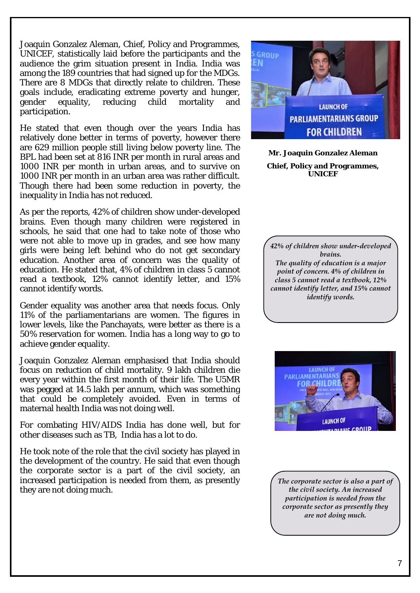Joaquin Gonzalez Aleman, Chief, Policy and Programmes, UNICEF, statistically laid before the participants and the audience the grim situation present in India. India was among the 189 countries that had signed up for the MDGs. There are 8 MDGs that directly relate to children. These goals include, eradicating extreme poverty and hunger, gender equality, reducing child mortality and participation.

He stated that even though over the years India has relatively done better in terms of poverty, however there are 629 million people still living below poverty line. The BPL had been set at 816 INR per month in rural areas and 1000 INR per month in urban areas, and to survive on 1000 INR per month in an urban area was rather difficult. Though there had been some reduction in poverty, the inequality in India has not reduced.

As per the reports, 42% of children show under-developed brains. Even though many children were registered in schools, he said that one had to take note of those who were not able to move up in grades, and see how many girls were being left behind who do not get secondary education. Another area of concern was the quality of education. He stated that, 4% of children in class 5 cannot read a textbook, 12% cannot identify letter, and 15% cannot identify words.

Gender equality was another area that needs focus. Only 11% of the parliamentarians are women. The figures in lower levels, like the Panchayats, were better as there is a 50% reservation for women. India has a long way to go to achieve gender equality.

Joaquin Gonzalez Aleman emphasised that India should focus on reduction of child mortality. 9 lakh children die every year within the first month of their life. The U5MR was pegged at 14.5 lakh per annum, which was something that could be completely avoided. Even in terms of maternal health India was not doing well.

For combating HIV/AIDS India has done well, but for other diseases such as TB, India has a lot to do.

He took note of the role that the civil society has played in the development of the country. He said that even though the corporate sector is a part of the civil society, an increased participation is needed from them, as presently they are not doing much.



**Mr. Joaquin Gonzalez Aleman Chief, Policy and Programmes, UNICEF**

*42% of children show under-developed brains. The quality of education is a major point of concern. 4% of children in class 5 cannot read a textbook, 12% cannot identify letter, and 15% cannot identify words.* 



*The corporate sector is also a part of the civil society. An increased participation is needed from the corporate sector as presently they are not doing much.*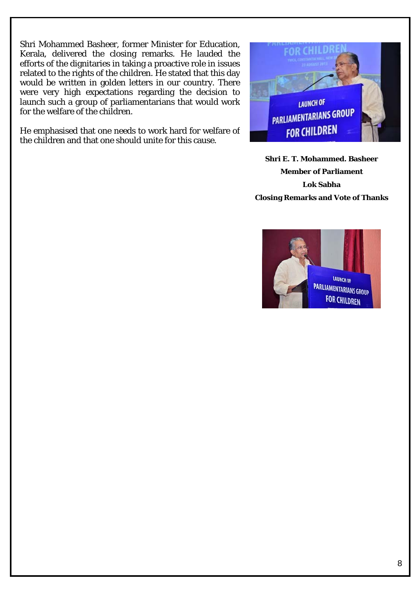Shri Mohammed Basheer, former Minister for Education, Kerala, delivered the closing remarks. He lauded the efforts of the dignitaries in taking a proactive role in issues related to the rights of the children. He stated that this day would be written in golden letters in our country. There were very high expectations regarding the decision to launch such a group of parliamentarians that would work for the welfare of the children.

He emphasised that one needs to work hard for welfare of the children and that one should unite for this cause.



**Shri E. T. Mohammed. Basheer Member of Parliament Lok Sabha Closing Remarks and Vote of Thanks**

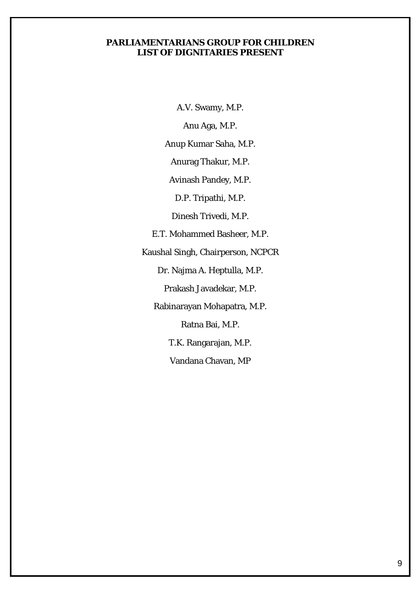#### **PARLIAMENTARIANS GROUP FOR CHILDREN LIST OF DIGNITARIES PRESENT**

A.V. Swamy, M.P.

Anu Aga, M.P.

Anup Kumar Saha, M.P.

Anurag Thakur, M.P.

Avinash Pandey, M.P.

D.P. Tripathi, M.P.

Dinesh Trivedi, M.P.

E.T. Mohammed Basheer, M.P.

Kaushal Singh, Chairperson, NCPCR

Dr. Najma A. Heptulla, M.P.

Prakash Javadekar, M.P.

Rabinarayan Mohapatra, M.P.

Ratna Bai, M.P.

T.K. Rangarajan, M.P.

Vandana Chavan, MP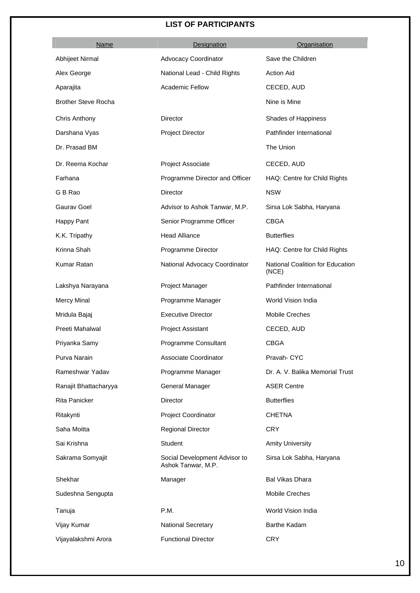#### **LIST OF PARTICIPANTS**

| Name                       | Designation                                         | Organisation                              |
|----------------------------|-----------------------------------------------------|-------------------------------------------|
| Abhijeet Nirmal            | <b>Advocacy Coordinator</b>                         | Save the Children                         |
| Alex George                | National Lead - Child Rights                        | <b>Action Aid</b>                         |
| Aparajita                  | <b>Academic Fellow</b>                              | CECED, AUD                                |
| <b>Brother Steve Rocha</b> |                                                     | Nine is Mine                              |
| Chris Anthony              | Director                                            | Shades of Happiness                       |
| Darshana Vyas              | Project Director                                    | Pathfinder International                  |
| Dr. Prasad BM              |                                                     | The Union                                 |
| Dr. Reema Kochar           | Project Associate                                   | CECED, AUD                                |
| Farhana                    | Programme Director and Officer                      | HAQ: Centre for Child Rights              |
| G B Rao                    | Director                                            | <b>NSW</b>                                |
| Gaurav Goel                | Advisor to Ashok Tanwar, M.P.                       | Sirsa Lok Sabha, Haryana                  |
| Happy Pant                 | Senior Programme Officer                            | <b>CBGA</b>                               |
| K.K. Tripathy              | <b>Head Alliance</b>                                | <b>Butterflies</b>                        |
| Krinna Shah                | Programme Director                                  | HAQ: Centre for Child Rights              |
| Kumar Ratan                | National Advocacy Coordinator                       | National Coalition for Education<br>(NCE) |
| Lakshya Narayana           | Project Manager                                     | Pathfinder International                  |
| <b>Mercy Minal</b>         | Programme Manager                                   | World Vision India                        |
| Mridula Bajaj              | <b>Executive Director</b>                           | Mobile Creches                            |
| Preeti Mahalwal            | Project Assistant                                   | CECED, AUD                                |
| Priyanka Samy              | Programme Consultant                                | <b>CBGA</b>                               |
| Purva Narain               | Associate Coordinator                               | Pravah- CYC                               |
| Rameshwar Yadav            | Programme Manager                                   | Dr. A. V. Balika Memorial Trust           |
| Ranajit Bhattacharyya      | General Manager                                     | <b>ASER Centre</b>                        |
| Rita Panicker              | Director                                            | <b>Butterflies</b>                        |
| Ritakynti                  | Project Coordinator                                 | <b>CHETNA</b>                             |
| Saha Moitta                | <b>Regional Director</b>                            | <b>CRY</b>                                |
| Sai Krishna                | Student                                             | <b>Amity University</b>                   |
| Sakrama Somyajit           | Social Development Advisor to<br>Ashok Tanwar, M.P. | Sirsa Lok Sabha, Haryana                  |
| Shekhar                    | Manager                                             | <b>Bal Vikas Dhara</b>                    |
| Sudeshna Sengupta          |                                                     | Mobile Creches                            |
| Tanuja                     | P.M.                                                | World Vision India                        |
| Vijay Kumar                | National Secretary                                  | <b>Barthe Kadam</b>                       |
| Vijayalakshmi Arora        | <b>Functional Director</b>                          | <b>CRY</b>                                |